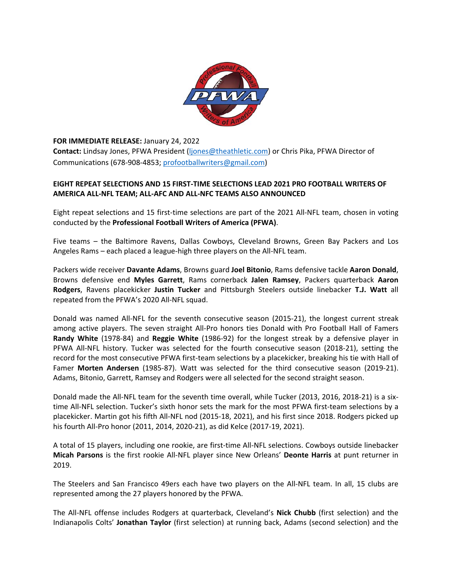

**FOR IMMEDIATE RELEASE:** January 24, 2022 **Contact:** Lindsay Jones, PFWA President (ljones@theathletic.com) or Chris Pika, PFWA Director of Communications (678‐908‐4853; profootballwriters@gmail.com)

# **EIGHT REPEAT SELECTIONS AND 15 FIRST‐TIME SELECTIONS LEAD 2021 PRO FOOTBALL WRITERS OF AMERICA ALL‐NFL TEAM; ALL‐AFC AND ALL‐NFC TEAMS ALSO ANNOUNCED**

Eight repeat selections and 15 first-time selections are part of the 2021 All-NFL team, chosen in voting conducted by the **Professional Football Writers of America (PFWA)**.

Five teams - the Baltimore Ravens, Dallas Cowboys, Cleveland Browns, Green Bay Packers and Los Angeles Rams – each placed a league‐high three players on the All‐NFL team.

Packers wide receiver **Davante Adams**, Browns guard **Joel Bitonio**, Rams defensive tackle **Aaron Donald**, Browns defensive end **Myles Garrett**, Rams cornerback **Jalen Ramsey**, Packers quarterback **Aaron Rodgers**, Ravens placekicker **Justin Tucker** and Pittsburgh Steelers outside linebacker **T.J. Watt** all repeated from the PFWA's 2020 All‐NFL squad.

Donald was named All-NFL for the seventh consecutive season (2015-21), the longest current streak among active players. The seven straight All-Pro honors ties Donald with Pro Football Hall of Famers **Randy White** (1978‐84) and **Reggie White** (1986‐92) for the longest streak by a defensive player in PFWA All‐NFL history. Tucker was selected for the fourth consecutive season (2018‐21), setting the record for the most consecutive PFWA first-team selections by a placekicker, breaking his tie with Hall of Famer **Morten Andersen** (1985-87). Watt was selected for the third consecutive season (2019-21). Adams, Bitonio, Garrett, Ramsey and Rodgers were all selected for the second straight season.

Donald made the All-NFL team for the seventh time overall, while Tucker (2013, 2016, 2018-21) is a sixtime All‐NFL selection. Tucker's sixth honor sets the mark for the most PFWA first‐team selections by a placekicker. Martin got his fifth All‐NFL nod (2015‐18, 2021), and his first since 2018. Rodgers picked up his fourth All‐Pro honor (2011, 2014, 2020‐21), as did Kelce (2017‐19, 2021).

A total of 15 players, including one rookie, are first‐time All‐NFL selections. Cowboys outside linebacker **Micah Parsons** is the first rookie All‐NFL player since New Orleans' **Deonte Harris** at punt returner in 2019.

The Steelers and San Francisco 49ers each have two players on the All-NFL team. In all, 15 clubs are represented among the 27 players honored by the PFWA.

The All‐NFL offense includes Rodgers at quarterback, Cleveland's **Nick Chubb** (first selection) and the Indianapolis Colts' **Jonathan Taylor** (first selection) at running back, Adams (second selection) and the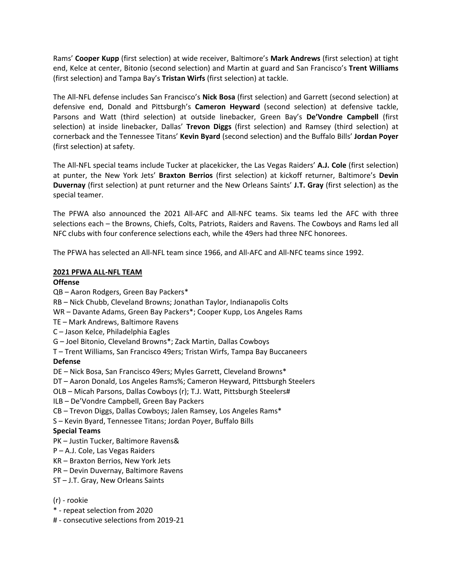Rams' **Cooper Kupp** (first selection) at wide receiver, Baltimore's **Mark Andrews** (first selection) at tight end, Kelce at center, Bitonio (second selection) and Martin at guard and San Francisco's **Trent Williams** (first selection) and Tampa Bay's **Tristan Wirfs** (first selection) at tackle.

The All‐NFL defense includes San Francisco's **Nick Bosa** (first selection) and Garrett (second selection) at defensive end, Donald and Pittsburgh's **Cameron Heyward** (second selection) at defensive tackle, Parsons and Watt (third selection) at outside linebacker, Green Bay's **De'Vondre Campbell** (first selection) at inside linebacker, Dallas' **Trevon Diggs** (first selection) and Ramsey (third selection) at cornerback and the Tennessee Titans' **Kevin Byard** (second selection) and the Buffalo Bills' **Jordan Poyer** (first selection) at safety.

The All‐NFL special teams include Tucker at placekicker, the Las Vegas Raiders' **A.J. Cole** (first selection) at punter, the New York Jets' **Braxton Berrios** (first selection) at kickoff returner, Baltimore's **Devin Duvernay** (first selection) at punt returner and the New Orleans Saints' **J.T. Gray** (first selection) as the special teamer.

The PFWA also announced the 2021 All‐AFC and All‐NFC teams. Six teams led the AFC with three selections each – the Browns, Chiefs, Colts, Patriots, Raiders and Ravens. The Cowboys and Rams led all NFC clubs with four conference selections each, while the 49ers had three NFC honorees.

The PFWA has selected an All‐NFL team since 1966, and All‐AFC and All‐NFC teams since 1992.

#### **2021 PFWA ALL‐NFL TEAM**

#### **Offense**

- QB Aaron Rodgers, Green Bay Packers\*
- RB Nick Chubb, Cleveland Browns; Jonathan Taylor, Indianapolis Colts
- WR Davante Adams, Green Bay Packers\*; Cooper Kupp, Los Angeles Rams
- TE Mark Andrews, Baltimore Ravens
- C Jason Kelce, Philadelphia Eagles
- G Joel Bitonio, Cleveland Browns\*; Zack Martin, Dallas Cowboys
- T Trent Williams, San Francisco 49ers; Tristan Wirfs, Tampa Bay Buccaneers

# **Defense**

- DE Nick Bosa, San Francisco 49ers; Myles Garrett, Cleveland Browns\*
- DT Aaron Donald, Los Angeles Rams%; Cameron Heyward, Pittsburgh Steelers
- OLB Micah Parsons, Dallas Cowboys (r); T.J. Watt, Pittsburgh Steelers#
- ILB De'Vondre Campbell, Green Bay Packers
- CB Trevon Diggs, Dallas Cowboys; Jalen Ramsey, Los Angeles Rams\*
- S Kevin Byard, Tennessee Titans; Jordan Poyer, Buffalo Bills

# **Special Teams**

- PK Justin Tucker, Baltimore Ravens&
- P A.J. Cole, Las Vegas Raiders
- KR Braxton Berrios, New York Jets
- PR Devin Duvernay, Baltimore Ravens
- ST J.T. Gray, New Orleans Saints

#### (r) ‐ rookie

- \* ‐ repeat selection from 2020
- # ‐ consecutive selections from 2019‐21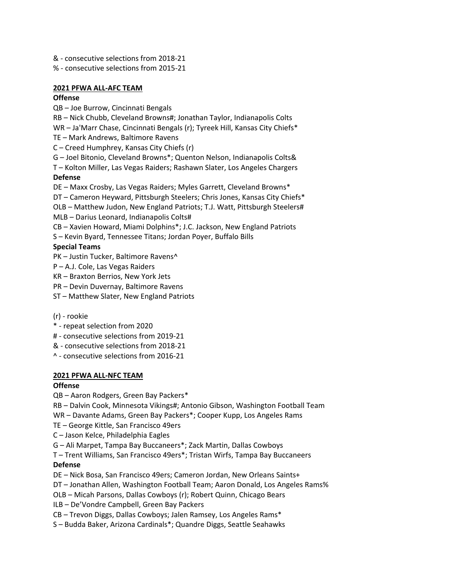- & ‐ consecutive selections from 2018‐21
- % ‐ consecutive selections from 2015‐21

## **2021 PFWA ALL‐AFC TEAM**

## **Offense**

QB – Joe Burrow, Cincinnati Bengals

RB – Nick Chubb, Cleveland Browns#; Jonathan Taylor, Indianapolis Colts

WR – Ja'Marr Chase, Cincinnati Bengals (r); Tyreek Hill, Kansas City Chiefs\*

- TE Mark Andrews, Baltimore Ravens
- C Creed Humphrey, Kansas City Chiefs (r)

G – Joel Bitonio, Cleveland Browns\*; Quenton Nelson, Indianapolis Colts&

T – Kolton Miller, Las Vegas Raiders; Rashawn Slater, Los Angeles Chargers **Defense** 

DE – Maxx Crosby, Las Vegas Raiders; Myles Garrett, Cleveland Browns\*

DT – Cameron Heyward, Pittsburgh Steelers; Chris Jones, Kansas City Chiefs\*

OLB – Matthew Judon, New England Patriots; T.J. Watt, Pittsburgh Steelers# MLB – Darius Leonard, Indianapolis Colts#

CB – Xavien Howard, Miami Dolphins\*; J.C. Jackson, New England Patriots

S – Kevin Byard, Tennessee Titans; Jordan Poyer, Buffalo Bills

# **Special Teams**

PK – Justin Tucker, Baltimore Ravens^

- P A.J. Cole, Las Vegas Raiders
- KR Braxton Berrios, New York Jets
- PR Devin Duvernay, Baltimore Ravens

ST – Matthew Slater, New England Patriots

(r) ‐ rookie

- \* ‐ repeat selection from 2020
- # ‐ consecutive selections from 2019‐21
- & ‐ consecutive selections from 2018‐21
- ^ ‐ consecutive selections from 2016‐21

# **2021 PFWA ALL‐NFC TEAM**

# **Offense**

- QB Aaron Rodgers, Green Bay Packers\*
- RB Dalvin Cook, Minnesota Vikings#; Antonio Gibson, Washington Football Team

WR – Davante Adams, Green Bay Packers\*; Cooper Kupp, Los Angeles Rams

- TE George Kittle, San Francisco 49ers
- C Jason Kelce, Philadelphia Eagles
- G Ali Marpet, Tampa Bay Buccaneers\*; Zack Martin, Dallas Cowboys

T – Trent Williams, San Francisco 49ers\*; Tristan Wirfs, Tampa Bay Buccaneers **Defense** 

- DE Nick Bosa, San Francisco 49ers; Cameron Jordan, New Orleans Saints+
- DT Jonathan Allen, Washington Football Team; Aaron Donald, Los Angeles Rams%
- OLB Micah Parsons, Dallas Cowboys (r); Robert Quinn, Chicago Bears

ILB – De'Vondre Campbell, Green Bay Packers

CB – Trevon Diggs, Dallas Cowboys; Jalen Ramsey, Los Angeles Rams\*

S – Budda Baker, Arizona Cardinals\*; Quandre Diggs, Seattle Seahawks